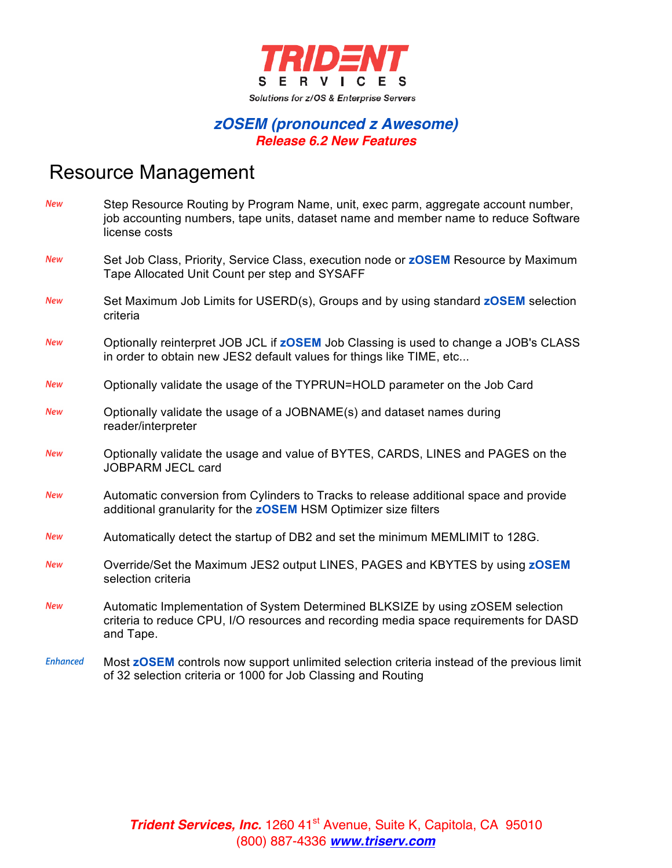

#### *zOSEM (pronounced z Awesome) Release 6.2 New Features*

### Resource Management

| <b>New</b>      | Step Resource Routing by Program Name, unit, exec parm, aggregate account number,<br>job accounting numbers, tape units, dataset name and member name to reduce Software<br>license costs |
|-----------------|-------------------------------------------------------------------------------------------------------------------------------------------------------------------------------------------|
| <b>New</b>      | Set Job Class, Priority, Service Class, execution node or <b>zOSEM</b> Resource by Maximum<br>Tape Allocated Unit Count per step and SYSAFF                                               |
| <b>New</b>      | Set Maximum Job Limits for USERD(s), Groups and by using standard zOSEM selection<br>criteria                                                                                             |
| <b>New</b>      | Optionally reinterpret JOB JCL if <b>zOSEM</b> Job Classing is used to change a JOB's CLASS<br>in order to obtain new JES2 default values for things like TIME, etc                       |
| New             | Optionally validate the usage of the TYPRUN=HOLD parameter on the Job Card                                                                                                                |
| <b>New</b>      | Optionally validate the usage of a JOBNAME(s) and dataset names during<br>reader/interpreter                                                                                              |
| New             | Optionally validate the usage and value of BYTES, CARDS, LINES and PAGES on the<br><b>JOBPARM JECL card</b>                                                                               |
| <b>New</b>      | Automatic conversion from Cylinders to Tracks to release additional space and provide<br>additional granularity for the <b>zOSEM</b> HSM Optimizer size filters                           |
| <b>New</b>      | Automatically detect the startup of DB2 and set the minimum MEMLIMIT to 128G.                                                                                                             |
| <b>New</b>      | Override/Set the Maximum JES2 output LINES, PAGES and KBYTES by using zOSEM<br>selection criteria                                                                                         |
| <b>New</b>      | Automatic Implementation of System Determined BLKSIZE by using zOSEM selection<br>criteria to reduce CPU, I/O resources and recording media space requirements for DASD<br>and Tape.      |
| <b>Enhanced</b> | Most zOSEM controls now support unlimited selection criteria instead of the previous limit<br>of 32 selection criteria or 1000 for Job Classing and Routing                               |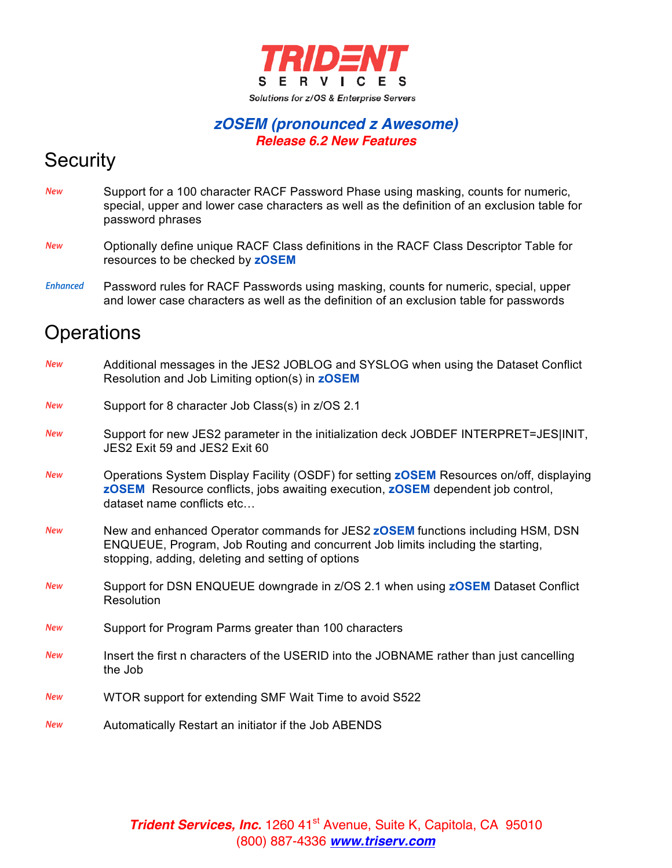

#### *zOSEM (pronounced z Awesome) Release 6.2 New Features*

# **Security**

- **New** Support for a 100 character RACF Password Phase using masking, counts for numeric, special, upper and lower case characters as well as the definition of an exclusion table for password phrases
- Optionally define unique RACF Class definitions in the RACF Class Descriptor Table for **New** resources to be checked by **zOSEM**
- **Enhanced** Password rules for RACF Passwords using masking, counts for numeric, special, upper and lower case characters as well as the definition of an exclusion table for passwords

## **Operations**

| <b>New</b> | Additional messages in the JES2 JOBLOG and SYSLOG when using the Dataset Conflict<br>Resolution and Job Limiting option(s) in <b>zOSEM</b>                                                                                    |
|------------|-------------------------------------------------------------------------------------------------------------------------------------------------------------------------------------------------------------------------------|
| <b>New</b> | Support for 8 character Job Class(s) in z/OS 2.1                                                                                                                                                                              |
| <b>New</b> | Support for new JES2 parameter in the initialization deck JOBDEF INTERPRET=JES INIT,<br>JES2 Exit 59 and JES2 Exit 60                                                                                                         |
| <b>New</b> | Operations System Display Facility (OSDF) for setting <b>zOSEM</b> Resources on/off, displaying<br>zOSEM Resource conflicts, jobs awaiting execution, zOSEM dependent job control,<br>dataset name conflicts etc              |
| <b>New</b> | New and enhanced Operator commands for JES2 <b>zOSEM</b> functions including HSM, DSN<br>ENQUEUE, Program, Job Routing and concurrent Job limits including the starting,<br>stopping, adding, deleting and setting of options |
| <b>New</b> | Support for DSN ENQUEUE downgrade in z/OS 2.1 when using <b>zOSEM</b> Dataset Conflict<br>Resolution                                                                                                                          |
| <b>New</b> | Support for Program Parms greater than 100 characters                                                                                                                                                                         |
| <b>New</b> | Insert the first n characters of the USERID into the JOBNAME rather than just cancelling<br>the Job                                                                                                                           |
| <b>New</b> | WTOR support for extending SMF Wait Time to avoid S522                                                                                                                                                                        |
| <b>New</b> | Automatically Restart an initiator if the Job ABENDS                                                                                                                                                                          |